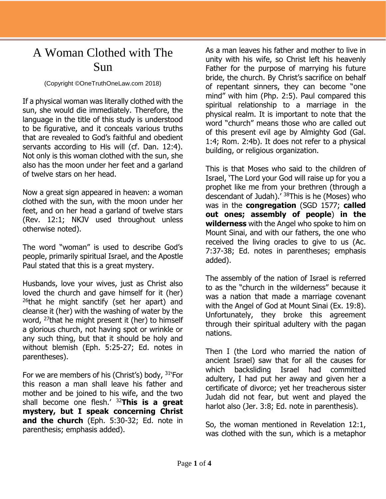## A Woman Clothed with The Sun

## (Copyright ©OneTruthOneLaw.com 2018)

If a physical woman was literally clothed with the sun, she would die immediately. Therefore, the language in the title of this study is understood to be figurative, and it conceals various truths that are revealed to God's faithful and obedient servants according to His will (cf. Dan. 12:4). Not only is this woman clothed with the sun, she also has the moon under her feet and a garland of twelve stars on her head.

Now a great sign appeared in heaven: a woman clothed with the sun, with the moon under her feet, and on her head a garland of twelve stars (Rev. 12:1; NKJV used throughout unless otherwise noted).

The word "woman" is used to describe God's people, primarily spiritual Israel, and the Apostle Paul stated that this is a great mystery.

Husbands, love your wives, just as Christ also loved the church and gave himself for it (her)  $26$ that he might sanctify (set her apart) and cleanse it (her) with the washing of water by the word, <sup>27</sup>that he might present it (her) to himself a glorious church, not having spot or wrinkle or any such thing, but that it should be holy and without blemish (Eph. 5:25-27; Ed. notes in parentheses).

For we are members of his (Christ's) body, <sup>31</sup>'For this reason a man shall leave his father and mother and be joined to his wife, and the two shall become one flesh.' <sup>32</sup>**This is a great mystery, but I speak concerning Christ and the church** (Eph. 5:30-32; Ed. note in parenthesis; emphasis added).

As a man leaves his father and mother to live in unity with his wife, so Christ left his heavenly Father for the purpose of marrying his future bride, the church. By Christ's sacrifice on behalf of repentant sinners, they can become "one mind" with him (Php. 2:5). Paul compared this spiritual relationship to a marriage in the physical realm. It is important to note that the word "church" means those who are called out of this present evil age by Almighty God (Gal. 1:4; Rom. 2:4b). It does not refer to a physical building, or religious organization.

This is that Moses who said to the children of Israel, 'The Lord your God will raise up for you a prophet like me from your brethren (through a descendant of Judah).<sup>' 38</sup>This is he (Moses) who was in the **congregation** (SGD 1577; **called out ones; assembly of people**) **in the wilderness** with the Angel who spoke to him on Mount Sinai, and with our fathers, the one who received the living oracles to give to us (Ac. 7:37-38; Ed. notes in parentheses; emphasis added).

The assembly of the nation of Israel is referred to as the "church in the wilderness" because it was a nation that made a marriage covenant with the Angel of God at Mount Sinai (Ex. 19:8). Unfortunately, they broke this agreement through their spiritual adultery with the pagan nations.

Then I (the Lord who married the nation of ancient Israel) saw that for all the causes for which backsliding Israel had committed adultery, I had put her away and given her a certificate of divorce; yet her treacherous sister Judah did not fear, but went and played the harlot also (Jer. 3:8; Ed. note in parenthesis).

So, the woman mentioned in Revelation 12:1, was clothed with the sun, which is a metaphor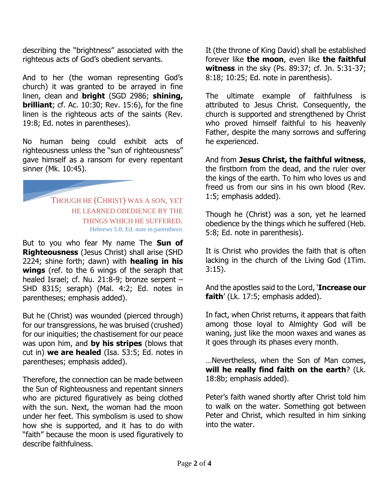describing the "brightness" associated with the righteous acts of God's obedient servants.

And to her (the woman representing God's church) it was granted to be arrayed in fine linen, clean and **bright** (SGD 2986; **shining, brilliant**; cf. Ac. 10:30; Rev. 15:6), for the fine linen is the righteous acts of the saints (Rev. 19:8; Ed. notes in parentheses).

No human being could exhibit acts of righteousness unless the "sun of righteousness" gave himself as a ransom for every repentant sinner (Mk. 10:45).

> THOUGH HE (CHRIST) WAS A SON, YET HE LEARNED OBEDIENCE BY THE THINGS WHICH HE SUFFERED. Hebrews 5:8; Ed. note in parenthesis

But to you who fear My name The **Sun of Righteousness** (Jesus Christ) shall arise (SHD 2224; shine forth; dawn) with **healing in his wings** (ref. to the 6 wings of the seraph that healed Israel; cf. Nu. 21:8-9; bronze serpent – SHD 8315; seraph) (Mal. 4:2; Ed. notes in parentheses; emphasis added).

But he (Christ) was wounded (pierced through) for our transgressions, he was bruised (crushed) for our iniquities; the chastisement for our peace was upon him, and **by his stripes** (blows that cut in) **we are healed** (Isa. 53:5; Ed. notes in parentheses; emphasis added).

Therefore, the connection can be made between the Sun of Righteousness and repentant sinners who are pictured figuratively as being clothed with the sun. Next, the woman had the moon under her feet. This symbolism is used to show how she is supported, and it has to do with "faith" because the moon is used figuratively to describe faithfulness.

It (the throne of King David) shall be established forever like **the moon**, even like **the faithful witness** in the sky (Ps. 89:37; cf. Jn. 5:31-37; 8:18; 10:25; Ed. note in parenthesis).

The ultimate example of faithfulness is attributed to Jesus Christ. Consequently, the church is supported and strengthened by Christ who proved himself faithful to his heavenly Father, despite the many sorrows and suffering he experienced.

And from **Jesus Christ, the faithful witness**, the firstborn from the dead, and the ruler over the kings of the earth. To him who loves us and freed us from our sins in his own blood (Rev. 1:5; emphasis added).

Though he (Christ) was a son, yet he learned obedience by the things which he suffered (Heb. 5:8; Ed. note in parenthesis).

It is Christ who provides the faith that is often lacking in the church of the Living God (1Tim. 3:15).

And the apostles said to the Lord, '**Increase our faith**' (Lk. 17:5; emphasis added).

In fact, when Christ returns, it appears that faith among those loyal to Almighty God will be waning, just like the moon waxes and wanes as it goes through its phases every month.

…Nevertheless, when the Son of Man comes, **will he really find faith on the earth**? (Lk. 18:8b; emphasis added).

Peter's faith waned shortly after Christ told him to walk on the water. Something got between Peter and Christ, which resulted in him sinking into the water.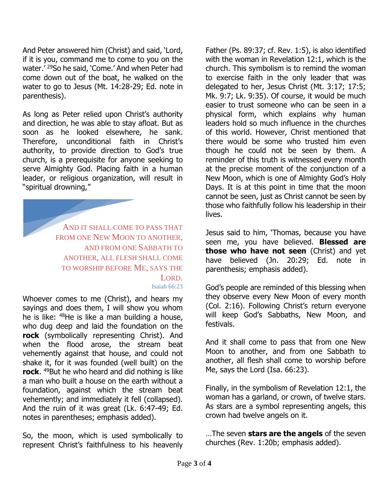And Peter answered him (Christ) and said, 'Lord, if it is you, command me to come to you on the water.' <sup>29</sup>So he said, 'Come.' And when Peter had come down out of the boat, he walked on the water to go to Jesus (Mt. 14:28-29; Ed. note in parenthesis).

As long as Peter relied upon Christ's authority and direction, he was able to stay afloat. But as soon as he looked elsewhere, he sank. Therefore, unconditional faith in Christ's authority, to provide direction to God's true church, is a prerequisite for anyone seeking to serve Almighty God. Placing faith in a human leader, or religious organization, will result in "spiritual drowning,"

> AND IT SHALL COME TO PASS THAT FROM ONE NEW MOON TO ANOTHER. AND FROM ONE SABBATH TO ANOTHER, ALL FLESH SHALL COME TO WORSHIP BEFORE ME, SAYS THE LORD. Isaiah 66:23

Whoever comes to me (Christ), and hears my sayings and does them, I will show you whom he is like: <sup>48</sup>He is like a man building a house, who dug deep and laid the foundation on the **rock** (symbolically representing Christ). And when the flood arose, the stream beat vehemently against that house, and could not shake it, for it was founded (well built) on the **rock**. <sup>49</sup>But he who heard and did nothing is like a man who built a house on the earth without a foundation, against which the stream beat vehemently; and immediately it fell (collapsed). And the ruin of it was great (Lk. 6:47-49; Ed. notes in parentheses; emphasis added).

So, the moon, which is used symbolically to represent Christ's faithfulness to his heavenly

Father (Ps. 89:37; cf. Rev. 1:5), is also identified with the woman in Revelation 12:1, which is the church. This symbolism is to remind the woman to exercise faith in the only leader that was delegated to her, Jesus Christ (Mt. 3:17; 17:5; Mk. 9:7; Lk. 9:35). Of course, it would be much easier to trust someone who can be seen in a physical form, which explains why human leaders hold so much influence in the churches of this world. However, Christ mentioned that there would be some who trusted him even though he could not be seen by them. A reminder of this truth is witnessed every month at the precise moment of the conjunction of a New Moon, which is one of Almighty God's Holy Days. It is at this point in time that the moon cannot be seen, just as Christ cannot be seen by those who faithfully follow his leadership in their lives.

Jesus said to him, 'Thomas, because you have seen me, you have believed. **Blessed are those who have not seen** (Christ) and yet have believed (Jn. 20:29; Ed. note in parenthesis; emphasis added).

God's people are reminded of this blessing when they observe every New Moon of every month (Col. 2:16). Following Christ's return everyone will keep God's Sabbaths, New Moon, and festivals.

And it shall come to pass that from one New Moon to another, and from one Sabbath to another, all flesh shall come to worship before Me, says the Lord (Isa. 66:23).

Finally, in the symbolism of Revelation 12:1, the woman has a garland, or crown, of twelve stars. As stars are a symbol representing angels, this crown had twelve angels on it.

…The seven **stars are the angels** of the seven churches (Rev. 1:20b; emphasis added).